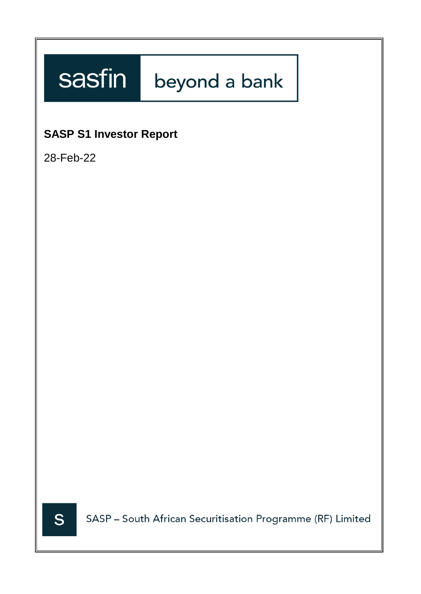# sasfin beyond a bank

# **SASP S1 Investor Report**

28-Feb-22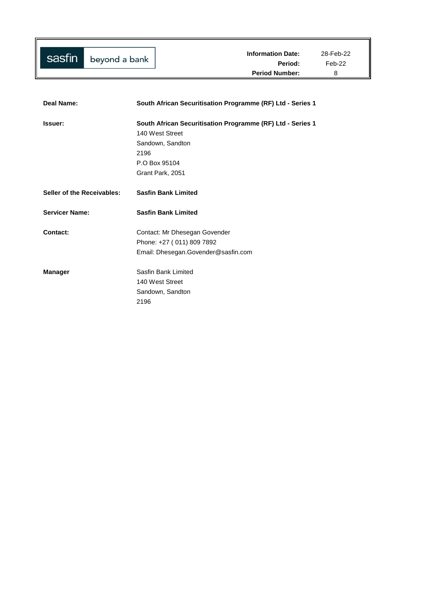| Deal Name:                 | South African Securitisation Programme (RF) Ltd - Series 1 |
|----------------------------|------------------------------------------------------------|
| Issuer:                    | South African Securitisation Programme (RF) Ltd - Series 1 |
|                            | 140 West Street                                            |
|                            | Sandown, Sandton                                           |
|                            | 2196                                                       |
|                            | P.O Box 95104                                              |
|                            | Grant Park, 2051                                           |
| Seller of the Receivables: | <b>Sasfin Bank Limited</b>                                 |
| <b>Servicer Name:</b>      | <b>Sasfin Bank Limited</b>                                 |
| Contact:                   | Contact: Mr Dhesegan Govender                              |
|                            | Phone: +27 (011) 809 7892                                  |
|                            | Email: Dhesegan.Govender@sasfin.com                        |
| <b>Manager</b>             | Sasfin Bank Limited                                        |
|                            | 140 West Street                                            |
|                            | Sandown, Sandton                                           |
|                            | 2196                                                       |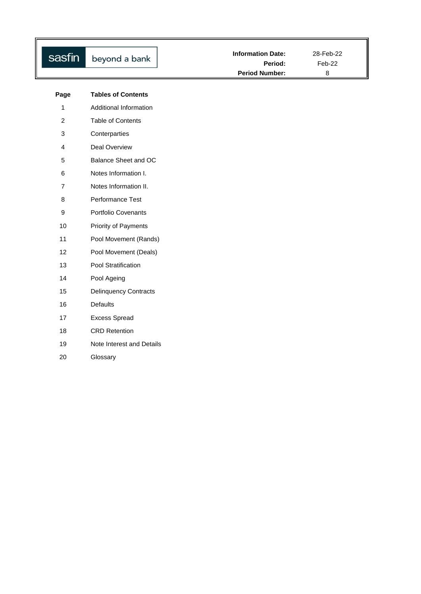| sasfin                    | beyond a bank                | <b>Information Date:</b><br>Period:<br><b>Period Number:</b> | 28-Feb-22<br>Feb-22<br>8 |
|---------------------------|------------------------------|--------------------------------------------------------------|--------------------------|
|                           |                              |                                                              |                          |
| Page                      | <b>Tables of Contents</b>    |                                                              |                          |
| $\mathbf{1}$              | Additional Information       |                                                              |                          |
| $\overline{c}$            | <b>Table of Contents</b>     |                                                              |                          |
| $\ensuremath{\mathsf{3}}$ | Conterparties                |                                                              |                          |
| 4                         | Deal Overview                |                                                              |                          |
| 5                         | Balance Sheet and OC         |                                                              |                          |
| 6                         | Notes Information I.         |                                                              |                          |
| $\overline{7}$            | Notes Information II.        |                                                              |                          |
| 8                         | Performance Test             |                                                              |                          |
| $\boldsymbol{9}$          | Portfolio Covenants          |                                                              |                          |
| 10                        | Priority of Payments         |                                                              |                          |
| 11                        | Pool Movement (Rands)        |                                                              |                          |
| 12                        | Pool Movement (Deals)        |                                                              |                          |
| 13                        | Pool Stratification          |                                                              |                          |
| 14                        | Pool Ageing                  |                                                              |                          |
| 15                        | <b>Delinquency Contracts</b> |                                                              |                          |
| 16                        | <b>Defaults</b>              |                                                              |                          |
| 17                        | <b>Excess Spread</b>         |                                                              |                          |
| 18                        | <b>CRD</b> Retention         |                                                              |                          |
| 19                        | Note Interest and Details    |                                                              |                          |
| 20                        | Glossary                     |                                                              |                          |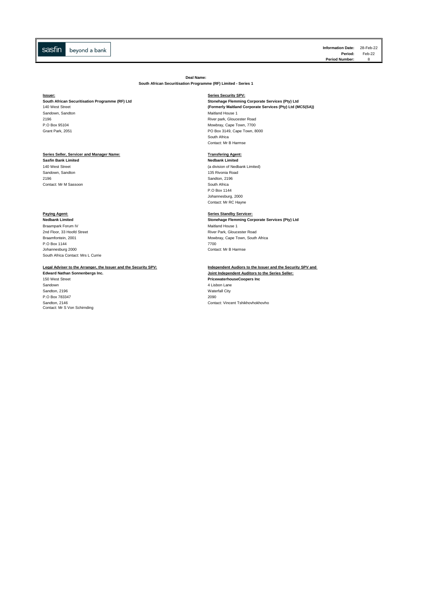**Information Date:** 28-Feb-22 **Feb-22 Period Number:** 

**Deal Name:**

**South African Securitisation Programme (RF) Limited - Series 1**

## **Issuer: Series Security SPV:**

Sandown, Sandton and Communication of the Communication of the Maitland House 1 (National Process of the Maitland House 1 (National Process of the Maitland House 1 (National Process of the Maitland Process of the Maitland

## **Series Seller, Servicer and Manager Name: Transfering Agent:**

**Sasfin Bank Limited**<br>**140 West Street** Sandown, Sandton<br>2196 Contact: Mr M Sassoon

**Paying Agent: Series Standby Servicer:** Braampark Forum IV<br>
2nd Floor, 33 Hoofd Street<br>
2nd Floor, 33 Hoofd Street 2nd Floor, 33 Hoofd Street **And The Street River Park, Gloucester Road**<br>Braamfontein, 2001 P.O Box 1144<br>Johannesburg 2000 [South Africa Contact: Mrs L Currie](mailto:treasury@sasfin.com)

Sandown 1992<br>
Sandton, 2196<br>
Waterfall City Naterfall City Sandton, 2196 Waterfall City of the Sandton, 2196 Waterfall City of the Sandton, 2000 Waterfall City of the Sandton City of the Sandton City of the Sandton City of the Sandton City of the Sandton City of the Sandton City o P.O Box 783347 Sandton, 2146<br>Contact: Mr S Von Schirnding

**South African Securitisation Programme (RF) Ltd Stonehage Flemming Corporate Services (Pty) Ltd** (M<br>140 West Street **Programme Corporate Services (Pty) Ltd** (M 140 West Street **(Formerly Maitland Corporate Services (Pty) Ltd (MCS(SA))** 2196 River park, Gloucester Road P.O Box 95104 Mowbray, Cape Town, 7700<br>
Grant Park, 2051 Crambus Cape Town, 80 Crambus Cape Town, 80 Crambus Cape Town, 80 Crambus Cape Town, 80 Crambus C PO Box 3149, Cape Town, 8000 South Africa Contact: Mr B Harmse

(a division of Nedbank Limited)<br>135 Rivonia Road Sandton, 2196<br>South Africa P.O Box 1144 Johannesburg, 2000 Contact: Mr RC Hayne

**Stonehage Flemming Corporate Services (Pty) Ltd** Mowbray, Cape Town, South Africa<br>7700 Contact: Mr B Harmse

## **Legal Adviser to the Arranger, the Issuer and the Security SPV: Independent Audiors to the Issuer and the Security SPV and**

**Joint Independent Auditors to the Series Seller:** 150 West Street **PricewaterhouseCoopers Inc** Contact: Vincent Tshikhovhokhovho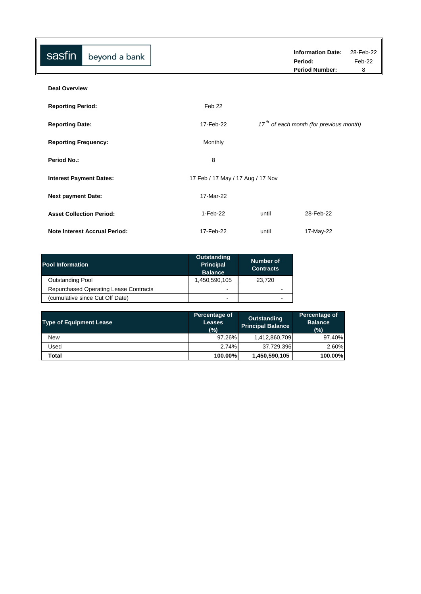| sasfin                          | beyond a bank                        |                                   |       | <b>Information Date:</b><br>Period:<br><b>Period Number:</b> | 28-Feb-22<br>Feb-22<br>8 |
|---------------------------------|--------------------------------------|-----------------------------------|-------|--------------------------------------------------------------|--------------------------|
| <b>Deal Overview</b>            |                                      |                                   |       |                                                              |                          |
| <b>Reporting Period:</b>        |                                      | Feb 22                            |       |                                                              |                          |
| <b>Reporting Date:</b>          |                                      | 17-Feb-22                         |       | $17th$ of each month (for previous month)                    |                          |
| <b>Reporting Frequency:</b>     |                                      | Monthly                           |       |                                                              |                          |
| <b>Period No.:</b>              |                                      | 8                                 |       |                                                              |                          |
| <b>Interest Payment Dates:</b>  |                                      | 17 Feb / 17 May / 17 Aug / 17 Nov |       |                                                              |                          |
| <b>Next payment Date:</b>       |                                      | 17-Mar-22                         |       |                                                              |                          |
| <b>Asset Collection Period:</b> |                                      | 1-Feb-22                          | until | 28-Feb-22                                                    |                          |
|                                 | <b>Note Interest Accrual Period:</b> | 17-Feb-22                         | until | 17-May-22                                                    |                          |

| <b>Pool Information</b>               | <b>Outstanding</b><br><b>Principal</b><br><b>Balance</b> | Number of<br><b>Contracts</b> |
|---------------------------------------|----------------------------------------------------------|-------------------------------|
| <b>Outstanding Pool</b>               | 1,450,590,105                                            | 23.720                        |
| Repurchased Operating Lease Contracts | ٠                                                        | -                             |
| (cumulative since Cut Off Date)       | -                                                        | -                             |

| <b>Type of Equipment Lease</b> | Percentage of<br><b>Leases</b><br>$(\% )$ | Outstanding<br><b>Principal Balance</b> | Percentage of<br><b>Balance</b><br>(%) |
|--------------------------------|-------------------------------------------|-----------------------------------------|----------------------------------------|
| <b>New</b>                     | 97.26%                                    | 1,412,860,709                           | 97.40%                                 |
| Used                           | 2.74%                                     | 37,729,396                              | 2.60%                                  |
| Total                          | 100.00%                                   | 1,450,590,105                           | 100.00%                                |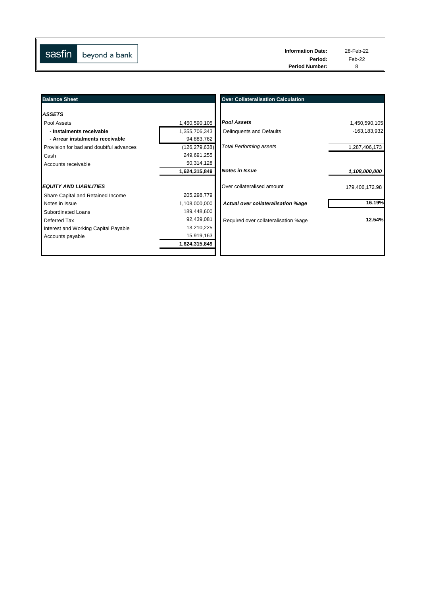| sasfin<br>beyond a bank | Period:               | Feb-22 |
|-------------------------|-----------------------|--------|
|                         | <b>Period Number:</b> |        |

║

| <b>Balance Sheet</b>                                        |                             | <b>Over Collateralisation Calculation</b> |                |
|-------------------------------------------------------------|-----------------------------|-------------------------------------------|----------------|
| <b>ASSETS</b>                                               |                             |                                           |                |
| Pool Assets                                                 | 1,450,590,105               | <b>Pool Assets</b>                        | 1,450,590,105  |
| - Instalments receivable<br>- Arrear instalments receivable | 1,355,706,343<br>94,883,762 | Delinquents and Defaults                  | -163,183,932   |
| Provision for bad and doubtful advances                     | (126, 279, 638)             | <b>Total Performing assets</b>            | 1,287,406,173  |
| Cash                                                        | 249,691,255                 |                                           |                |
| Accounts receivable                                         | 50,314,128                  |                                           |                |
|                                                             | 1,624,315,849               | <b>Notes in Issue</b>                     | 1,108,000,000  |
| <b>EQUITY AND LIABILITIES</b>                               |                             | Over collateralised amount                | 179,406,172.98 |
| Share Capital and Retained Income                           | 205,298,779                 |                                           |                |
| Notes in Issue                                              | 1,108,000,000               | Actual over collateralisation %age        | 16.19%         |
| Subordinated Loans                                          | 189,448,600                 |                                           |                |
| Deferred Tax                                                | 92,439,081                  | Required over collateralisation %age      | 12.54%         |
| Interest and Working Capital Payable                        | 13,210,225                  |                                           |                |
| Accounts payable                                            | 15,919,163                  |                                           |                |
|                                                             | 1,624,315,849               |                                           |                |
|                                                             |                             |                                           |                |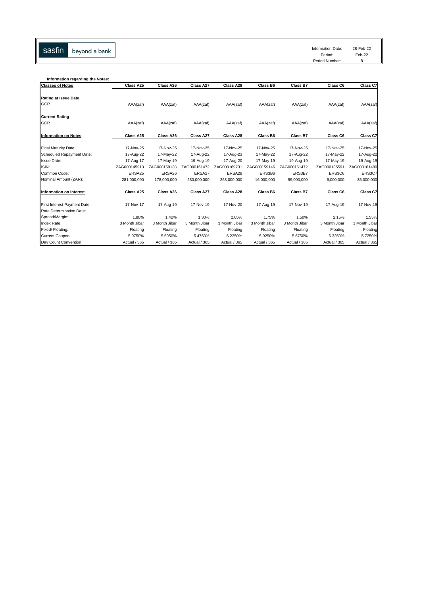sasfin beyond a bank Information Date: 28-Feb-22 Information Date: 28-Feb-22<br>Period: Feb-22<br>Period Number: 8

Period: Feb-22

| Information regarding the Notes: |               |               |               |               |               |               |               |               |
|----------------------------------|---------------|---------------|---------------|---------------|---------------|---------------|---------------|---------------|
| <b>Classes of Notes</b>          | Class A25     | Class A26     | Class A27     | Class A28     | Class B6      | Class B7      | Class C6      | Class C7      |
| Rating at Issue Date             |               |               |               |               |               |               |               |               |
| GCR                              | AAA(zaf)      | AAA(zaf)      | AAA(zaf)      | AAA(zaf)      | AAA(zaf)      | AAA(zaf)      | AAA(zaf)      | AAA(zaf)      |
| <b>Current Rating</b>            |               |               |               |               |               |               |               |               |
| GCR                              | AAA(zaf)      | AAA(zaf)      | AAA(zaf)      | AAA(zaf)      | AAA(zaf)      | AAA(zaf)      | AAA(zaf)      | AAA(zaf)      |
| <b>Information on Notes</b>      | Class A25     | Class A26     | Class A27     | Class A28     | Class B6      | Class B7      | Class C6      | Class C7      |
| <b>Final Maturity Date</b>       | 17-Nov-25     | 17-Nov-25     | 17-Nov-25     | 17-Nov-25     | 17-Nov-25     | 17-Nov-25     | 17-Nov-25     | 17-Nov-25     |
| Scheduled Repayment Date:        | 17-Aug-22     | 17-May-22     | 17-Aug-22     | 17-Aug-23     | 17-May-22     | 17-Aug-22     | 17-May-22     | 17-Aug-22     |
| Issue Date:                      | 17-Aug-17     | 17-May-19     | 19-Aug-19     | 17-Aug-20     | 17-May-19     | 19-Aug-19     | 17-May-19     | 19-Aug-19     |
| ISIN:                            | ZAG000145913  | ZAG000159138  | ZAG000161472  | ZAG000169731  | ZAG000159146  | ZAG000161472  | ZAG000135591  | ZAG000161480  |
| Common Code:                     | ERSA25        | ERSA26        | ERSA27        | ERSA28        | ERS3B6        | ERS3B7        | ERS3C6        | ERS3C7        |
| Nominal Amount (ZAR):            | 281,000,000   | 178,000,000   | 230,000,000   | 263,000,000   | 16,000,000    | 99,000,000    | 6,000,000     | 35,000,000    |
| <b>Information on Interest</b>   | Class A25     | Class A26     | Class A27     | Class A28     | Class B6      | Class B7      | Class C6      | Class C7      |
| First Interest Payment Date:     | 17-Nov-17     | 17-Aug-19     | 17-Nov-19     | 17-Nov-20     | 17-Aug-19     | 17-Nov-19     | 17-Aug-19     | 17-Nov-19     |
| Rate Determination Date:         |               |               |               |               |               |               |               |               |
| Spread/Margin:                   | 1.80%         | 1.42%         | 1.30%         | 2.05%         | 1.75%         | 1.50%         | 2.15%         | 1.55%         |
| Index Rate:                      | 3 Month Jibar | 3 Month Jibar | 3 Month Jibar | 3 Month Jibar | 3 Month Jibar | 3 Month Jibar | 3 Month Jibar | 3 Month Jibar |
| Fixed/ Floating:                 | Floating      | Floating      | Floating      | Floating      | Floating      | Floating      | Floating      | Floating      |
| Current Coupon:                  | 5.9750%       | 5.5950%       | 5.4750%       | 6.2250%       | 5.9250%       | 5.6750%       | 6.3250%       | 5.7250%       |
| Day Count Convention             | Actual / 365  | Actual / 365  | Actual / 365  | Actual / 365  | Actual / 365  | Actual / 365  | Actual / 365  | Actual / 365  |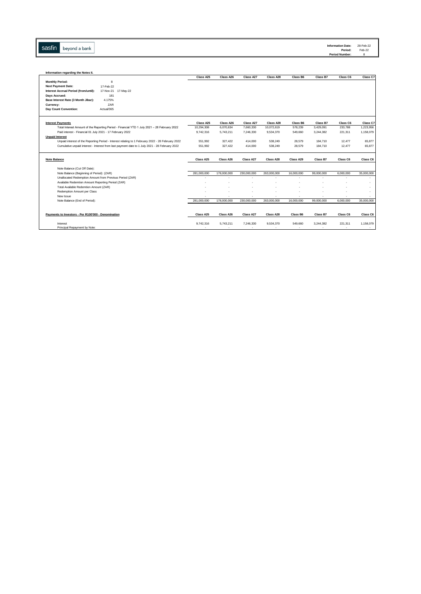Sasfin beyond a bank

| Information regarding the Notes II.                                                                                                                                                                 |             |             |             |                |            |            |           |            |
|-----------------------------------------------------------------------------------------------------------------------------------------------------------------------------------------------------|-------------|-------------|-------------|----------------|------------|------------|-----------|------------|
|                                                                                                                                                                                                     | Class A25   | Class A26   | Class A27   | Class A28      | Class B6   | Class B7   | Class C6  | Class C7   |
| 8<br><b>Monthly Period:</b>                                                                                                                                                                         |             |             |             |                |            |            |           |            |
| 17-Feb-22<br><b>Next Payment Date:</b>                                                                                                                                                              |             |             |             |                |            |            |           |            |
| Interest Accrual Period (from/until):<br>17-Nov-21 17-May-22                                                                                                                                        |             |             |             |                |            |            |           |            |
| Days Accrued:<br>181                                                                                                                                                                                |             |             |             |                |            |            |           |            |
| 4.175%<br>Base Interest Rate (3 Month Jibar):                                                                                                                                                       |             |             |             |                |            |            |           |            |
| ZAR<br>Currency:                                                                                                                                                                                    |             |             |             |                |            |            |           |            |
| Day Count Convention:<br>Actual/365                                                                                                                                                                 |             |             |             |                |            |            |           |            |
|                                                                                                                                                                                                     |             |             |             |                |            |            |           |            |
| <b>Interest Payments</b>                                                                                                                                                                            | Class A25   | Class A26   | Class A27   | Class A28      | Class B6   | Class B7   | Class C6  | Class C7   |
| Total Interest Amount of the Reporting Period - Financial YTD 1 July 2021 - 28 February 2022                                                                                                        | 10,294,308  | 6,070,634   | 7,660,330   | 10,072,619     | 578,239    | 3,429,091  | 233,788   | 1,223,956  |
| Paid interest - Financial 01 July 2021 - 17 February 2022                                                                                                                                           | 9,742,316   | 5,743,211   | 7,246,330   | 9,534,370      | 549,660    | 3,244,382  | 221,311   | 1,158,079  |
| <b>Unpaid Interest</b>                                                                                                                                                                              | 551,992     | 327,422     | 414.000     | 538,249        | 28.579     | 184,710    | 12,477    | 65,877     |
| Unpaid interest of the Reporting Period - Interest relating to 1 February 2022 - 28 February 2022<br>Cumulative unpaid interest - Interest from last payment date to 1 July 2021 - 28 February 2022 | 551,992     | 327,422     | 414.000     | 538,249        | 28,579     | 184,710    | 12,477    | 65,877     |
|                                                                                                                                                                                                     |             |             |             |                |            |            |           |            |
| <b>Note Balance</b>                                                                                                                                                                                 | Class A25   | Class A26   | Class A27   | Class A28      | Class A29  | Class B7   | Class C6  | Class C6   |
|                                                                                                                                                                                                     |             |             |             |                |            |            |           |            |
| Note Balance (Cut Off Date):                                                                                                                                                                        |             |             |             |                |            |            |           |            |
| Note Balance (Beginning of Period): (ZAR)                                                                                                                                                           | 281.000.000 | 178,000,000 | 230.000.000 | 263.000.000    | 16,000,000 | 99.000.000 | 6.000.000 | 35,000,000 |
| Unallocated Redemption Amount from Previous Period (ZAR)                                                                                                                                            |             | ٠           | ٠           | $\blacksquare$ |            |            | ٠         |            |
| Available Redemtion Amount Reporting Period (ZAR)                                                                                                                                                   |             |             |             |                |            |            |           | ٠          |
| Total Available Redemtion Amount (ZAR)                                                                                                                                                              |             |             |             |                |            |            |           |            |
| Redemption Amount per Class                                                                                                                                                                         |             |             |             |                |            |            |           |            |
| New Issue                                                                                                                                                                                           |             |             |             |                |            |            |           | $\sim$     |
| Note Balance (End of Period):                                                                                                                                                                       | 281,000,000 | 178,000,000 | 230,000,000 | 263,000,000    | 16,000,000 | 99,000,000 | 6,000,000 | 35,000,000 |
|                                                                                                                                                                                                     |             |             |             |                |            |            |           |            |
| Payments to Investors - Per R100'000 - Denomination                                                                                                                                                 | Class A25   | Class A26   | Class A27   | Class A28      | Class B6   | Class B7   | Class C6  | Class C6   |
| Interest                                                                                                                                                                                            | 9,742,316   | 5,743,211   | 7,246,330   | 9,534,370      | 549.660    | 3.244.382  | 221,311   | 1,158,079  |
| Principal Repayment by Note:                                                                                                                                                                        |             |             | ÷           |                |            |            |           |            |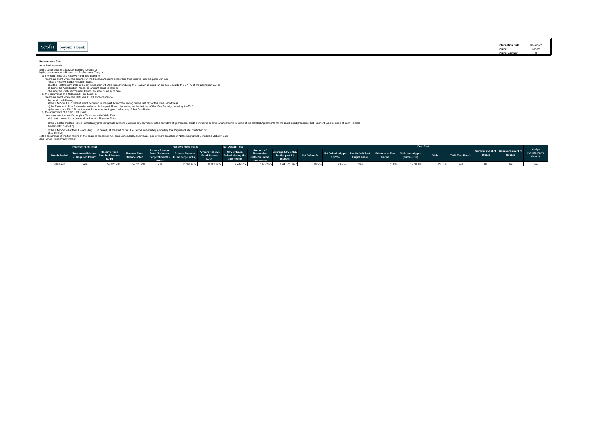|                       |                           | 28-Feb-22                                 |
|-----------------------|---------------------------|-------------------------------------------|
| sasfi<br>eyond a bank | <b>Information Date:</b>  | Feb-22<br>the contract of the contract of |
|                       | Period:<br>Period Number: |                                           |

## **Performance Test**<br>Amortisation events:

Amortisation events: a) the occurrence of a Servicer Event of Default; or b) the occurrence of a Breach of a Performance Test; or a) the occurrence of a Reserve Fund Test Event; or Arrears Reserve Target Amount means:<br>
a) at the Restatement Date or on any Measurement Date thereafter during the Revolving Period, an amount equal to the Σ NPV of the Delinquent EL; or<br>
b) during the PAnchastion Period, a means an event where the balance on the Reserve Account is less than the Reserve Fund Required Amount

a) the Yield for the Due Period immediately preceding that Payment Date less any payments to the providers of guarantees, credit derivatives or other arrangements in terms of the Related Agreements for the Due Period prece

### Agreements; divided by

b) the XIPV of all of the EL (excluding EL in default) at the start of the Due Period immediately preceding that Payment Date; multiplied by<br>c) the cocurrence of the first failure by the issuer to redeem in full, on a Sche

|           | <b>Reserve Fund Tests</b>                                                                                                                                                                                                        |  | <b>Reserve Fund Tests</b>                                                             | <b>Net Default Test</b> |  |  |                                                                                                                                                                                                                                |          | Yield Test |                  |         |                                                 |                                  |
|-----------|----------------------------------------------------------------------------------------------------------------------------------------------------------------------------------------------------------------------------------|--|---------------------------------------------------------------------------------------|-------------------------|--|--|--------------------------------------------------------------------------------------------------------------------------------------------------------------------------------------------------------------------------------|----------|------------|------------------|---------|-------------------------------------------------|----------------------------------|
|           | Month Ended Test ovent Balance Reserve Fund Fund Balance Arrears Reserve Afrears Reserve MPV of EL Amount Reverage NPV of EL Amount Recorded Amount Recorded Amount Section 4 (1998)<br>A Required Pass? Required Amount Balance |  |                                                                                       |                         |  |  |                                                                                                                                                                                                                                |          | Yield      | Yield Test Pass? | default | Servicer event of Refinance event of<br>default | Hedge<br>Counterparty<br>default |
| 28-Feb-22 |                                                                                                                                                                                                                                  |  | 59,128,200 Yes 11,962,605 11,962,605 2,442,704 1,637,925 1,447,727,827 1.3082% 2.625% |                         |  |  | Yes and the same of the same of the same of the same of the same of the same of the same of the same of the same of the same of the same of the same of the same of the same of the same of the same of the same of the same o | 12.5000% | 22.61%     |                  |         |                                                 |                                  |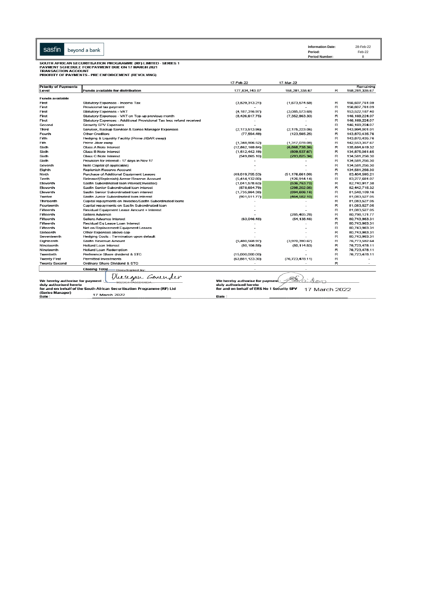| sasfin                            | beyond a bank                                                            | <b>Information Date:</b><br>Period:<br><b>Period Number:</b> | 28-Feb-22<br>Feb-22<br>8 |   |                  |
|-----------------------------------|--------------------------------------------------------------------------|--------------------------------------------------------------|--------------------------|---|------------------|
|                                   | SOUTH AFRICAN SECURITISATION PROGRAMME (RF) LIMITED - SERIES 1           |                                                              |                          |   |                  |
| <b>TRANSACTION ACCOUNT</b>        | PAYMENT SCHEDULE FOR PAYMENT DUE ON 17 MARCH 2021                        |                                                              |                          |   |                  |
|                                   | PRIORITY OF PAYMENTS - PRE ENFORCEMENT (REVOLVING)                       |                                                              |                          |   |                  |
|                                   |                                                                          |                                                              |                          |   |                  |
| <b>Priority of Payments</b>       |                                                                          | 17-Feb-22                                                    | 17-Mar-22                |   | Remaining        |
| Level                             | <b>Funds available for distribution</b>                                  | 177,834,143.07                                               | 158,281,335.67           | R | 158,281,335.67   |
|                                   |                                                                          |                                                              |                          |   |                  |
| <b>Funds available</b>            |                                                                          |                                                              |                          |   |                  |
| First                             | Statutory Expenses - Income Tax                                          | (3,529,313.21)                                               | (1,673,574.59)           | R | 156,607,761.09   |
| First                             | Provisional tax payment                                                  |                                                              |                          | R | 156,607,761.09   |
| First                             | Statutory Expenses - VAT                                                 | (4, 187, 316.97)                                             | (3,085,573.69)           | R | 153,522,187.40   |
| First                             | Statutory Expenses - VAT on Top-up previous month                        | (8,426,617.75)                                               | (7, 352, 963.33)         | R | 146, 169, 224.07 |
| First                             | Statutory Expenses - Additional Provisional Tax less refund received     |                                                              |                          | R | 146, 169, 224.07 |
| Second                            | Security SPV Expenses                                                    |                                                              |                          | R | 146.169.224.07   |
| Third                             | Servicer, Backup Servicer & Series Manager Expenses                      | (2.173.513.96)                                               | (2.175.223.06)           | R | 143.994.001.01   |
| Fourth                            | <b>Other Creditors</b>                                                   | (77, 554.49)                                                 | (123, 565.25)            | R | 143,870,435.76   |
| Fifth                             | Hedging & Liquidity Facility (Prime JIBAR swap)                          |                                                              |                          | R | 143,870,435.76   |
| Fith                              | Prime Jibar swap                                                         | (1,348,906.52)                                               | (1,317,078.08)           | R | 142,553,357.67   |
| Sixth                             | Class A Note Interest                                                    | (12,862,169.64)                                              | (6,868,738.36)           | R | 135,684,619.32   |
| Sixth                             | Class B Note Interest                                                    | (1,512,442.19)                                               | (809, 537.67)            | R | 134,875,081.65   |
| Sixth                             | Class C Note Interest                                                    | (549, 865.10)                                                | (293, 825.34)            | R | 134,581,256.30   |
| Sixth                             | Provision for interest - 17 days in Nov 17                               |                                                              |                          | R | 134,581,256.30   |
| Seventh                           | Note Capital (if applicable)                                             |                                                              |                          | R | 134,581,256.30   |
| Eighth                            | Replenish Reserve Account                                                |                                                              |                          | R | 134.581.256.30   |
| Ninth                             | Purchase of Additional Equipment Leases                                  | (49.019.755.53)                                              | (51, 176, 661.09)        | R | 83,404,595.21    |
| Tenth                             | Release/(Replenish) Arrear Reserve Account                               | (5,414,132.80)                                               | (126, 914.14)            | R | 83,277,681.07    |
| Eleventh                          | Sasfin Subordinated Ioan interest(Investec)                              | (1,041,578.63)                                               | (536, 763.70)            | R | 82,740,917.38    |
| Eleventh                          | Sasfin Senior Subordinated Ioan interest                                 | (578, 654.79)                                                | (298, 202.05)            | R | 82,442,715.32    |
| Eleventh                          | Sasfin Senior Subordinated Ioan interest                                 | (1,735,964.38)                                               | (894, 606.16)            | R | 81,548,109.16    |
| Twelve                            | Sasfin Junior Subordinated loan interest                                 | (901, 511.77)                                                | (464.582.10)             | R | 81.083.527.05    |
| Thirteenth                        | Capital repayments on Investec/Sasfin Subordinated Ioans                 |                                                              |                          | R | 81,083,527.05    |
| Fourteenth                        | Capital repayments on Sasfin Subordinated Ioan                           |                                                              |                          | R | 81,083,527.05    |
| Fifteenth                         | Residual Equipment Lease Amount + Interest                               |                                                              |                          | R | 81,083,527.05    |
| Fifteenth                         | Sellers Advance                                                          |                                                              | (285, 405.28)            | R | 80,798,121.77    |
| Fifteenth                         | Sellers Advance Interest                                                 | (63,046.48)                                                  | (54, 138.46)             | R | 80,743,983.31    |
| Fifteenth                         | Residual Eq Lease Loan Interest                                          |                                                              |                          | R | 80,743,983.31    |
| Fifteenth                         | Net on Replacement Equipment Leases                                      |                                                              |                          | R | 80,743,983.31    |
| Sixteenth                         | Other Expenses above cap                                                 |                                                              |                          | R | 80,743,983.31    |
| Seventeenth                       | Hedging Costs - Termination upon default                                 |                                                              |                          | R | 80,743,983.31    |
| Eighteenth                        | Sasfin Revenue Amount                                                    | (5,480,568.97)                                               | (3,970,390.67)           | R | 76,773,592.64    |
| Nineteenth                        | <b>Hollard Loan Interest</b>                                             | (50, 106.58)                                                 | (50, 114.53)             | R | 76,723,478.11    |
| Nineteenth                        | <b>Hollard Loan Redemption</b>                                           |                                                              |                          | R | 76,723,478.11    |
| Twentieth                         | Preference Share dividend & STC                                          | (15,000,000,00)                                              |                          | R | 76,723,478.11    |
| <b>Twenty First</b>               | Permitted Investments                                                    | (63,881,123,30)                                              | (76, 723, 478.11)        | R |                  |
| <b>Twenty Second</b>              | Ordinary Share Dividend & STC                                            |                                                              |                          | R |                  |
|                                   |                                                                          |                                                              |                          |   |                  |
|                                   | <b>Closing Total</b><br>DocuSigned by:                                   |                                                              |                          |   |                  |
|                                   | Vlusegan Govender                                                        |                                                              |                          |   |                  |
| We hereby authorise for payment : |                                                                          | We hereby authorise for payment                              |                          |   |                  |
| duly authorised hereto            |                                                                          | duly authorised hereto                                       |                          |   |                  |
|                                   | for and on behalf of the South African Securitisation Programme (RF) Ltd | for and on behalf of ERS No 1 Security SPV                   | 17 March 2022            |   |                  |
| (Series Manager)                  | 17 March 2022                                                            |                                                              |                          |   |                  |
| Date:                             |                                                                          | Date:                                                        |                          |   |                  |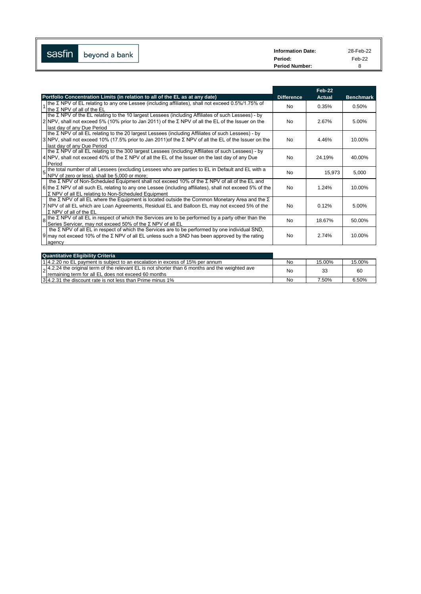| --<br><b>Sasfin</b> | beyond a bank | <b>Information Date:</b> | 28-Feb-22 |
|---------------------|---------------|--------------------------|-----------|
| $\mathsf{I}$        |               | Period:                  | Feb-22    |
|                     |               | <b>Period Number:</b>    |           |

|                                                                                                                                                                                                                                                                                            |                   | Feb-22        |                  |
|--------------------------------------------------------------------------------------------------------------------------------------------------------------------------------------------------------------------------------------------------------------------------------------------|-------------------|---------------|------------------|
| Portfolio Concentration Limits (in relation to all of the EL as at any date)                                                                                                                                                                                                               | <b>Difference</b> | <b>Actual</b> | <b>Benchmark</b> |
| Ithe Σ NPV of EL relating to any one Lessee (including affiliates), shall not exceed $0.5\%/1.75\%$ of<br>Ithe $\Sigma$ NPV of all of the EL                                                                                                                                               | <b>No</b>         | 0.35%         | 0.50%            |
| Ithe $\Sigma$ NPV of the EL relating to the 10 largest Lessees (including Affiliates of such Lessees) - by<br>2 NPV, shall not exceed 5% (10% prior to Jan 2011) of the Σ NPV of all the EL of the Issuer on the<br>last day of any Due Period                                             | <b>No</b>         | 2.67%         | 5.00%            |
| Ithe Σ NPV of all EL relating to the 20 largest Lessees (including Affiliates of such Lessees) - by<br>$3 NPV$ , shall not exceed 10% (17.5% prior to Jan 2011) of the $\Sigma$ NPV of all the EL of the Issuer on the<br>last day of any Due Period                                       | <b>No</b>         | 4.46%         | 10.00%           |
| Ithe Σ NPV of all EL relating to the 300 largest Lessees (including Affiliates of such Lessees) - by<br>4 NPV, shall not exceed 40% of the $\Sigma$ NPV of all the EL of the Issuer on the last day of any Due<br>Period                                                                   | <b>No</b>         | 24.19%        | 40.00%           |
| 5 the total number of all Lessees (excluding Lessees who are parties to EL in Default and EL with a<br>NPV of zero or less), shall be 5,000 or more;                                                                                                                                       | <b>No</b>         | 15,973        | 5,000            |
| the $\Sigma$ NPV of Non-Scheduled Equipment shall not exceed 10% of the $\Sigma$ NPV of all of the EL and<br>6 the $\Sigma$ NPV of all such EL relating to any one Lessee (including affiliates), shall not exceed 5% of the<br>$\Sigma$ NPV of all EL relating to Non-Scheduled Equipment | <b>No</b>         | 1.24%         | 10.00%           |
| the $\Sigma$ NPV of all EL where the Equipment is located outside the Common Monetary Area and the $\Sigma$<br>7 NPV of all EL which are Loan Agreements, Residual EL and Balloon EL may not exceed 5% of the<br>$\Sigma$ NPV of all of the EL                                             | <b>No</b>         | 0.12%         | 5.00%            |
| Ithe Σ NPV of all EL in respect of which the Services are to be performed by a party other than the<br>8<br>Series Servicer, may not exceed 50% of the Σ NPV of all EL                                                                                                                     | <b>No</b>         | 18.67%        | 50.00%           |
| the $\Sigma$ NPV of all EL in respect of which the Services are to be performed by one individual SND,<br>9 may not exceed 10% of the Σ NPV of all EL unless such a SND has been approved by the rating<br>agency                                                                          | <b>No</b>         | 2.74%         | 10.00%           |

| <b>Quantitative Eligibility Criteria</b>                                                                                                                               |    |        |        |
|------------------------------------------------------------------------------------------------------------------------------------------------------------------------|----|--------|--------|
| 14.2.20 no EL payment is subject to an escalation in excess of 15% per annum                                                                                           | No | 15.00% | 15.00% |
| $\vert_{\Omega}$ 4.2.24 the original term of the relevant EL is not shorter than 6 months and the weighted ave<br>Iremaining term for all EL does not exceed 60 months | No | 33     | 60     |
| 1314.2.31 the discount rate is not less than Prime minus 1%                                                                                                            | No | 7.50%  | 6.50%  |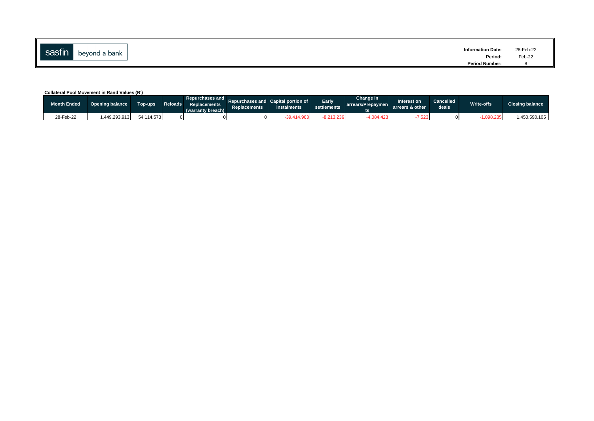| --<br>sastın | beyond a bank | <b>Information Date:</b><br>Period: | 28-Feb-22<br>Feb-22 |
|--------------|---------------|-------------------------------------|---------------------|
|              |               | <b>Period Number:</b>               |                     |

### **Collateral Pool Movement in Rand Values (R')**

| <b>Month Ended</b> | <b>Opening balance</b> | Top-ups    | Repurchases and L<br>Reloads Replacements<br>(warranty breach) | <b>Replacements</b> | Repurchases and Capital portion of<br>instalments | Early<br><b>settlements</b> | Change in<br>arrears/Prepaymen | nterest on<br>arrears & other | <b>Cancelled</b><br>deals <sup>1</sup> | Write-offs | <b>Closing balance</b> |
|--------------------|------------------------|------------|----------------------------------------------------------------|---------------------|---------------------------------------------------|-----------------------------|--------------------------------|-------------------------------|----------------------------------------|------------|------------------------|
| 28-Feb-22          | 1.449.293.913          | 54.114.573 |                                                                |                     | $-39,414,96$                                      | 040.00                      | 1.084.423                      | 1.523                         |                                        | 0.098.235  | .450.590.105           |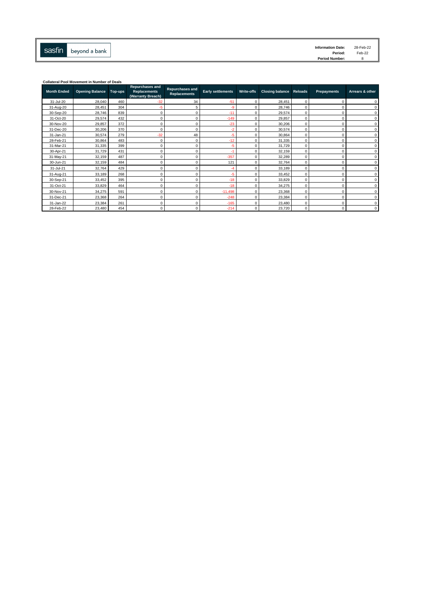

| <b>Information Date:</b> | 28-Feb-22 |
|--------------------------|-----------|
| Period:                  | Feb-22    |
| <b>Period Number:</b>    | 8         |

| <b>Collateral Pool Movement in Number of Deals</b> |                        |         |                                                                    |                                               |                          |            |                                |          |                    |                 |
|----------------------------------------------------|------------------------|---------|--------------------------------------------------------------------|-----------------------------------------------|--------------------------|------------|--------------------------------|----------|--------------------|-----------------|
| <b>Month Ended</b>                                 | <b>Opening Balance</b> | Top-ups | <b>Repurchases and</b><br><b>Replacements</b><br>(Warranty Breach) | <b>Repurchases and</b><br><b>Replacements</b> | <b>Early settlements</b> | Write-offs | <b>Closing balance Reloads</b> |          | <b>Prepayments</b> | Arrears & other |
| 31-Jul-20                                          | 28,040                 | 460     | $-32$                                                              | 34                                            | $-51$                    | $\Omega$   | 28,451                         | $\Omega$ |                    | $\Omega$        |
| 31-Aug-20                                          | 28,451                 | 304     | $-5$                                                               | 5                                             | $-9$                     | $\Omega$   | 28,746                         | $\Omega$ |                    | $\Omega$        |
| 30-Sep-20                                          | 28,746                 | 839     | $^{\circ}$                                                         | 0                                             | $-11$                    | $\Omega$   | 29,574                         | $\Omega$ |                    | $\mathbf 0$     |
| 31-Oct-20                                          | 29,574                 | 432     | $^{\circ}$                                                         | 0                                             | $-149$                   | $\Omega$   | 29,857                         | $\Omega$ |                    | $\Omega$        |
| 30-Nov-20                                          | 29,857                 | 372     | $^{\circ}$                                                         | 0                                             | $-23$                    | C          | 30.206                         | $\Omega$ |                    | $\Omega$        |
| 31-Dec-20                                          | 30,206                 | 370     | $\mathbf 0$                                                        | 0                                             | $-2$                     | C          | 30,574                         | 0        |                    | $\Omega$        |
| 31-Jan-21                                          | 30,574                 | 279     | $-32$                                                              | 48                                            | $-5$                     | $\Omega$   | 30,864                         | $\Omega$ |                    | $\Omega$        |
| 28-Feb-21                                          | 30,864                 | 483     | $\mathbf 0$                                                        | 0                                             | $-12$                    | $\Omega$   | 31,335                         | $\Omega$ | $\Omega$           | $\Omega$        |
| 31-Mar-21                                          | 31,335                 | 399     | $\mathbf 0$                                                        | 0                                             | $-5$                     | $\Omega$   | 31.729                         | $\Omega$ |                    | $\mathbf 0$     |
| 30-Apr-21                                          | 31,729                 | 431     | $^{\circ}$                                                         | 0                                             |                          | $\Omega$   | 32.159                         | $\Omega$ |                    | $\mathbf 0$     |
| 31-May-21                                          | 32,159                 | 487     | $\mathbf 0$                                                        | 0                                             | $-357$                   | $\Omega$   | 32.289                         | 0        |                    | $\mathbf 0$     |
| 30-Jun-21                                          | 32,159                 | 484     | $\mathbf 0$                                                        | 0                                             | 121                      | $\Omega$   | 32,764                         | $\Omega$ |                    | $\Omega$        |
| 31-Jul-21                                          | 32,764                 | 429     | $\mathbf 0$                                                        | 0                                             | -4                       | $\Omega$   | 33,189                         | $\Omega$ | $\Omega$           | $\Omega$        |
| 31-Aug-21                                          | 33,189                 | 268     | $\Omega$                                                           | 0                                             | $-5$                     | C          | 33.452                         | $\Omega$ |                    | $\Omega$        |
| 30-Sep-21                                          | 33,452                 | 395     | $^{\circ}$                                                         | 0                                             | $-18$                    | O          | 33,829                         | $\Omega$ |                    | $\Omega$        |
| 31-Oct-21                                          | 33,829                 | 464     | $\mathbf 0$                                                        | 0                                             | $-18$                    | $\Omega$   | 34,275                         | 0        |                    | $\Omega$        |
| 30-Nov-21                                          | 34,275                 | 591     | $\Omega$                                                           | 0                                             | $-11,498$                | $\Omega$   | 23,368                         | $\Omega$ |                    | $\Omega$        |
| 31-Dec-21                                          | 23,368                 | 264     | $\mathbf 0$                                                        | 0                                             | $-248$                   | $\Omega$   | 23,384                         | $\Omega$ |                    | $\Omega$        |
| 31-Jan-22                                          | 23,384                 | 261     | $\mathbf 0$                                                        | 0                                             | $-165$                   | $\Omega$   | 23,480                         | $\Omega$ | $\Omega$           | $\mathbf 0$     |
| 28-Feb-22                                          | 23,480                 | 454     | $^{\circ}$                                                         | 0                                             | $-214$                   | $\Omega$   | 23,720                         | $\Omega$ | $\Omega$           | $\Omega$        |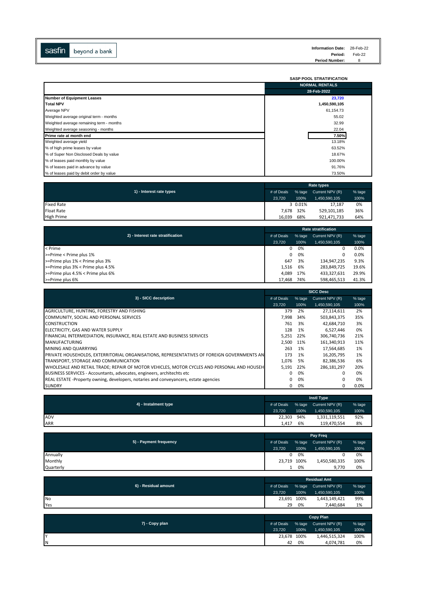

|                                          | <b>SASP POOL STRATIFICATION</b> |
|------------------------------------------|---------------------------------|
|                                          | <b>NORMAL RENTALS</b>           |
|                                          | 28-Feb-2022                     |
| <b>Number of Equipment Leases</b>        | 23,720                          |
| <b>Total NPV</b>                         | 1,450,590,105                   |
| Average NPV                              | 61,154.73                       |
| Weighted average original term - months  | 55.02                           |
| Weighted average remaining term - months | 32.99                           |
| Weighted average seasoning - months      | 22.04                           |
| <b>Prime rate at month end</b>           | 7.50%                           |
| Weighted average yield                   | 13.18%                          |
| % of high prime leases by value          | 63.52%                          |
| % of Super Non Disclosed Deals by value  | 18.67%                          |
| % of leases paid monthly by value        | 100.00%                         |
| % of leases paid in advance by value     | 91.76%                          |
| % of leases paid by debit order by value | 73.50%                          |

|                          | Rate types |          |                 |        |  |  |
|--------------------------|------------|----------|-----------------|--------|--|--|
| 1) - Interest rate types | # of Deals | $%$ tage | Current NPV (R) | % tage |  |  |
|                          | 23.720     | 100%     | 1,450,590,105   | 100%   |  |  |
| <b>Fixed Rate</b>        |            | 3 0.01%  | 17.187          | 0%     |  |  |
| <b>Float Rate</b>        | 7.678      | 32%      | 529,101,185     | 36%    |  |  |
| <b>High Prime</b>        | 16.039     | 68%      | 921,471,733     | 64%    |  |  |

| 2) - Interest rate stratification<br># of Deals |        | % tage | Current NPV (R) | % tage |
|-------------------------------------------------|--------|--------|-----------------|--------|
|                                                 | 23.720 | 100%   | 1,450,590,105   | 100%   |
| < Prime                                         | 0      | 0%     | 0               | 0.0%   |
| >=Prime < Prime plus 1%                         | 0      | 0%     | 0               | 0.0%   |
| >=Prime plus 1% < Prime plus 3%                 | 647    | 3%     | 134.947.235     | 9.3%   |
| >=Prime plus 3% < Prime plus 4.5%               | 1.516  | 6%     | 283,849,725     | 19.6%  |
| >=Prime plus 4.5% < Prime plus 6%               | 4.089  | 17%    | 433,327,631     | 29.9%  |
| >=Prime plus 6%                                 | 17.468 | 74%    | 598.465.513     | 41.3%  |

|                                                                                            | <b>SICC Desc</b> |        |                 |          |  |  |  |
|--------------------------------------------------------------------------------------------|------------------|--------|-----------------|----------|--|--|--|
| 3) - SICC decsription                                                                      | # of Deals       | % tage | Current NPV (R) | $%$ tage |  |  |  |
|                                                                                            | 23,720           | 100%   | 1,450,590,105   | 100%     |  |  |  |
| AGRICULTURE, HUNTING, FORESTRY AND FISHING                                                 | 379              | 2%     | 27,114,611      | 2%       |  |  |  |
| COMMUNITY, SOCIAL AND PERSONAL SERVICES                                                    | 7.998            | 34%    | 503,843,375     | 35%      |  |  |  |
| <b>CONSTRUCTION</b>                                                                        | 761              | 3%     | 42,684,710      | 3%       |  |  |  |
| ELECTRICITY, GAS AND WATER SUPPLY                                                          | 128              | 1%     | 6,527,446       | 0%       |  |  |  |
| FINANCIAL INTERMEDIATION, INSURANCE, REAL ESTATE AND BUSINESS SERVICES                     | 5.251            | 22%    | 306.740.736     | 21%      |  |  |  |
| <b>MANUFACTURING</b>                                                                       | 2.500            | 11%    | 161,340,913     | 11%      |  |  |  |
| MINING AND QUARRYING                                                                       | 263              | 1%     | 17.564.685      | 1%       |  |  |  |
| PRIVATE HOUSEHOLDS, EXTERRITORIAL ORGANISATIONS, REPRESENTATIVES OF FOREIGN GOVERNMENTS AN | 173              | 1%     | 16,205,795      | 1%       |  |  |  |
| TRANSPORT, STORAGE AND COMMUNICATION                                                       | 1.076            | .5%    | 82.386.536      | 6%       |  |  |  |
| WHOLESALE AND RETAIL TRADE; REPAIR OF MOTOR VEHICLES, MOTOR CYCLES AND PERSONAL AND HOUSEH | 5,191            | 22%    | 286,181,297     | 20%      |  |  |  |
| BUSINESS SERVICES - Accountants, advocates, engineers, architechts etc.                    | 0                | 0%     | 0               | 0%       |  |  |  |
| REAL ESTATE -Property owning, developers, notaries and conveyancers, estate agencies       | 0                | 0%     | $\Omega$        | 0%       |  |  |  |
| <b>SUNDRY</b>                                                                              | 0                | 0%     | 0               | $0.0\%$  |  |  |  |

| 4) - Instalment type | <b>Instl Type</b> |      |                        |        |  |  |
|----------------------|-------------------|------|------------------------|--------|--|--|
|                      | # of Deals        |      | % tage Current NPV (R) | % tage |  |  |
|                      | 23.720            | 100% | 1,450,590,105          | 100%   |  |  |
| <b>ADV</b>           | 22,303            | 94%  | 1,331,119,551          | 92%    |  |  |
| ARR                  | 1.417             | 6%   | 119,470,554            | 8%     |  |  |

|                        |             | Pay Freq |                 |        |  |
|------------------------|-------------|----------|-----------------|--------|--|
| 5) - Payment frequency | # of Deals  | % tage   | Current NPV (R) | % tage |  |
|                        | 23.720      | 100%     | 1,450,590,105   | 100%   |  |
| Annually               | 0           | 0%       |                 | 0%     |  |
| Monthly                | 23,719 100% |          | 1,450,580,335   | 100%   |  |
| Quarterly              |             | 0%       | 9.770           | 0%     |  |

| 6) - Residual amount | <b>Residual Amt</b> |      |                        |        |  |
|----------------------|---------------------|------|------------------------|--------|--|
|                      | # of Deals          |      | % tage Current NPV (R) | % tage |  |
|                      | 23.720              | 100% | 1,450,590,105          | 100%   |  |
| <b>No</b>            | 23,691 100%         |      | 1.443.149.421          | 99%    |  |
| Yes                  | 29                  | 0%   | 7.440.684              | 1%     |  |

| 7) - Copy plan | <b>Copy Plan</b> |        |                 |        |  |
|----------------|------------------|--------|-----------------|--------|--|
|                | # of Deals       | % tage | Current NPV (R) | % tage |  |
|                | 23.720           | 100%   | 1,450,590,105   | 100%   |  |
| I۷             | 23,678 100%      |        | 1,446,515,324   | 100%   |  |
| ΙN             | 42               | 0%     | 4,074,781       | 0%     |  |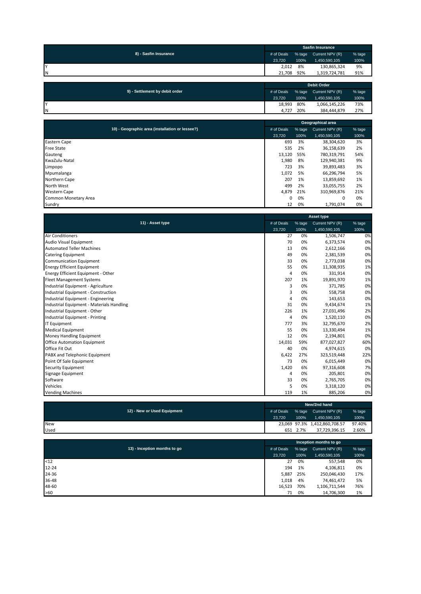| 8) - Sasfin Insurance | <b>Sasfin Insurance</b> |        |                 |        |  |
|-----------------------|-------------------------|--------|-----------------|--------|--|
|                       | # of Deals              | % tage | Current NPV (R) | % tage |  |
|                       | 23.720                  | 100%   | 1,450,590,105   | 100%   |  |
|                       | 2,012                   | 8%     | 130,865,324     | 9%     |  |
| ΙN                    | 21.708                  | 92%    | 1,319,724,781   | 91%    |  |
|                       |                         |        |                 |        |  |

| 9) - Settlement by debit order | <b>Debit Order</b> |        |                 |        |  |
|--------------------------------|--------------------|--------|-----------------|--------|--|
|                                | # of Deals         | % tage | Current NPV (R) | % tage |  |
|                                | 23.720             | 100%   | 1.450.590.105   | 100%   |  |
| IV                             | 18,993             | 80%    | 1,066,145,226   | 73%    |  |
| <b>N</b>                       | 4.727              | 20%    | 384.444.879     | 27%    |  |

|                                                 | Geographical area |        |                 |        |  |
|-------------------------------------------------|-------------------|--------|-----------------|--------|--|
| 10) - Geographic area (installation or lessee?) | # of Deals        | % tage | Current NPV (R) | % tage |  |
|                                                 | 23,720            | 100%   | 1,450,590,105   | 100%   |  |
| <b>Eastern Cape</b>                             | 693               | 3%     | 38,304,620      | 3%     |  |
| <b>Free State</b>                               | 535               | 2%     | 36,158,639      | 2%     |  |
| Gauteng                                         | 13,120            | 55%    | 780,319,791     | 54%    |  |
| KwaZulu-Natal                                   | 1,980             | 8%     | 129,940,381     | 9%     |  |
| Limpopo                                         | 723               | 3%     | 39,893,483      | 3%     |  |
| Mpumalanga                                      | 1,072             | 5%     | 66,296,794      | 5%     |  |
| Northern Cape                                   | 207               | 1%     | 13,859,692      | 1%     |  |
| North West                                      | 499               | 2%     | 33,055,755      | 2%     |  |
| <b>Western Cape</b>                             | 4,879             | 21%    | 310,969,876     | 21%    |  |
| Common Monetary Area                            | 0                 | 0%     | 0               | 0%     |  |
| Sundry                                          | 12                | 0%     | 1,791,074       | 0%     |  |

|                                           |            | <b>Asset type</b> |                 |        |  |  |
|-------------------------------------------|------------|-------------------|-----------------|--------|--|--|
| 11) - Asset type                          | # of Deals | % tage            | Current NPV (R) | % tage |  |  |
|                                           | 23,720     | 100%              | 1,450,590,105   | 100%   |  |  |
| <b>Air Conditioners</b>                   | 27         | 0%                | 1,506,747       | 0%     |  |  |
| Audio Visual Equipment                    | 70         | 0%                | 6,373,574       | 0%     |  |  |
| <b>Automated Teller Machines</b>          | 13         | 0%                | 2,612,166       | 0%     |  |  |
| <b>Catering Equipment</b>                 | 49         | 0%                | 2,381,539       | 0%     |  |  |
| <b>Communication Equipment</b>            | 33         | 0%                | 2,773,038       | 0%     |  |  |
| <b>Energy Efficient Equipment</b>         | 55         | 0%                | 11,308,935      | 1%     |  |  |
| Energy Efficient Equipment - Other        | 4          | 0%                | 331,914         | 0%     |  |  |
| <b>Fleet Management Systems</b>           | 207        | 1%                | 19,891,970      | 1%     |  |  |
| Industrial Equipment - Agriculture        | 3          | 0%                | 371,785         | 0%     |  |  |
| Industrial Equipment - Construction       | 3          | 0%                | 558,758         | 0%     |  |  |
| Industrial Equipment - Engineering        | 4          | 0%                | 143,653         | 0%     |  |  |
| Industrial Equipment - Materials Handling | 31         | 0%                | 9,434,674       | 1%     |  |  |
| Industrial Equipment - Other              | 226        | 1%                | 27,031,496      | 2%     |  |  |
| Industrial Equipment - Printing           | 4          | 0%                | 1,520,110       | 0%     |  |  |
| <b>IT Equipment</b>                       | 777        | 3%                | 32,795,670      | 2%     |  |  |
| <b>Medical Equipment</b>                  | 55         | 0%                | 13,330,494      | 1%     |  |  |
| Money Handling Equipment                  | 12         | 0%                | 2,194,801       | 0%     |  |  |
| <b>Office Automation Equipment</b>        | 14,031     | 59%               | 877,027,827     | 60%    |  |  |
| Office Fit Out                            | 40         | 0%                | 4,974,615       | 0%     |  |  |
| PABX and Telephonic Equipment             | 6,422      | 27%               | 323,519,448     | 22%    |  |  |
| Point Of Sale Equipment                   | 73         | 0%                | 6,015,449       | 0%     |  |  |
| <b>Security Equipment</b>                 | 1,420      | 6%                | 97,316,608      | 7%     |  |  |
| Signage Equipment                         | 4          | 0%                | 205,801         | 0%     |  |  |
| Software                                  | 33         | 0%                | 2,765,705       | 0%     |  |  |
| Vehicles                                  | 5          | 0%                | 3,318,120       | 0%     |  |  |
| <b>Vending Machines</b>                   | 119        | 1%                | 885,206         | 0%     |  |  |

|                             | New/2nd hand |      |                               |        |  |  |
|-----------------------------|--------------|------|-------------------------------|--------|--|--|
| 12) - New or Used Equipment | # of Deals   |      | % tage Current NPV (R)        | % tage |  |  |
|                             | 23.720       | 100% | 1.450.590.105                 | 100%   |  |  |
| <b>New</b>                  |              |      | 23,069 97.3% 1,412,860,708.57 | 97.40% |  |  |
| Used                        | 651          | 2.7% | 37.729.396.15                 | 2.60%  |  |  |

|                              | Inception months to go |        |                 |        |  |  |
|------------------------------|------------------------|--------|-----------------|--------|--|--|
| 13) - Inception months to go | # of Deals             | % tage | Current NPV (R) | % tage |  |  |
|                              | 23,720                 | 100%   | 1,450,590,105   | 100%   |  |  |
| $12$                         | 27                     | 0%     | 557,548         | 0%     |  |  |
| $12 - 24$                    | 194                    | 1%     | 4,106,811       | 0%     |  |  |
| 24-36                        | 5,887                  | 25%    | 250,046,430     | 17%    |  |  |
| 36-48                        | 1,018                  | 4%     | 74,461,472      | 5%     |  |  |
| 48-60                        | 16,523                 | 70%    | 1,106,711,544   | 76%    |  |  |
| >60                          | 71                     | 0%     | 14,706,300      | 1%     |  |  |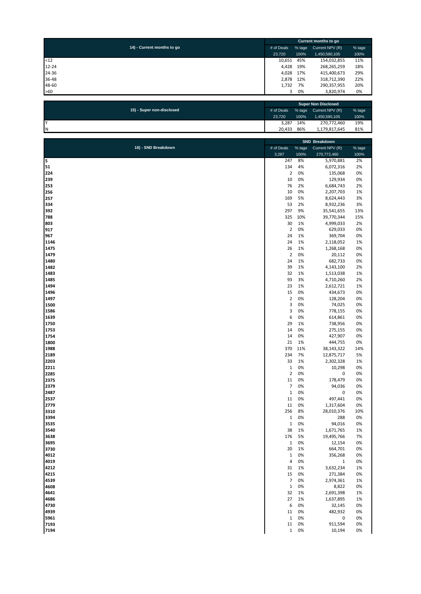|           |                            |  | Current months to go       |           |                 |        |
|-----------|----------------------------|--|----------------------------|-----------|-----------------|--------|
|           | 14) - Current months to go |  | # of Deals                 | % tage    | Current NPV (R) | % tage |
|           |                            |  | 23,720                     | 100%      | 1,450,590,105   | 100%   |
| $12$      |                            |  | 10,651                     | 45%       | 154,032,855     | 11%    |
| $12 - 24$ |                            |  | 4,428                      | 19%       | 268,265,259     | 18%    |
| 24-36     |                            |  |                            | 4,028 17% | 415,400,673     | 29%    |
| 36-48     |                            |  |                            | 2,878 12% | 318,712,390     | 22%    |
| 48-60     |                            |  | 1,732                      | 7%        | 290,357,955     | 20%    |
| >60       |                            |  | 3                          | 0%        | 3,820,974       | 0%     |
|           |                            |  |                            |           |                 |        |
|           |                            |  | <b>Cunor Non Dicolocod</b> |           |                 |        |

|                           |            |        | <b>Super Non Disclosed</b> |        |  |  |  |  |
|---------------------------|------------|--------|----------------------------|--------|--|--|--|--|
| 15) - Super non-disclosed | # of Deals | % tage | Current NPV (R)            | % tage |  |  |  |  |
|                           | 23.720     | 100%   | 1,450,590,105              | 100%   |  |  |  |  |
| Iv                        | 3.287      | 14%    | 270,772,460                | 19%    |  |  |  |  |
| ΙN                        | 20.433     | 86%    | 1,179,817,645              | 81%    |  |  |  |  |

|                     | SND Breakdown     |          |                        |          |
|---------------------|-------------------|----------|------------------------|----------|
| 16) - SND Breakdown | # of Deals        | % tage   | Current NPV (R)        | % tage   |
|                     | 3,287             | 100%     | 270,772,460            | 100%     |
| 5                   | 247               | 8%       | 5,970,881              | 2%       |
| 51                  | 134               | 4%       | 6,072,316              | 2%       |
| 224                 | $\mathbf 2$       | 0%       | 135,068                | 0%       |
| 239                 | 10                | 0%       | 129,934                | 0%       |
| 253                 | 76                | 2%       | 6,684,743              | 2%       |
| 256                 | 10                | 0%       | 2,207,703              | 1%       |
| 257                 | 169               | 5%       | 8,624,443              | 3%       |
| 334                 | 53                | 2%       | 8,932,236              | 3%       |
| 392                 | 297               | 9%       | 35,541,655             | 13%      |
| 788                 | 325               | 10%      | 39,770,344             | 15%      |
| 803                 | 30                | 1%       | 4,999,033              | 2%       |
| 917                 | $\overline{2}$    | 0%       | 629,033                | 0%       |
| 967                 | 24                | 1%       | 369,704                | 0%       |
| 1146                | 24                | 1%       | 2,118,052              | 1%       |
| 1475                | 26                | 1%       | 1,268,168              | 0%       |
| 1479                | $\mathbf 2$<br>24 | 0%<br>1% | 20,112                 | 0%       |
| 1480<br>1482        | 39                | 1%       | 682,733                | 0%<br>2% |
| 1483                | 32                | 1%       | 4,143,100              |          |
| 1485                | 93                | 3%       | 1,513,038<br>4,710,260 | 1%<br>2% |
| 1494                | 23                | 1%       | 2,612,721              | 1%       |
| 1496                | 15                | 0%       | 434,673                | 0%       |
| 1497                | $\overline{2}$    | 0%       | 128,204                | 0%       |
| 1500                | 3                 | 0%       | 74,025                 | 0%       |
| 1586                | 3                 | 0%       | 778,155                | 0%       |
| 1639                | 6                 | 0%       | 614,861                | 0%       |
| 1750                | 29                | 1%       | 738,956                | 0%       |
| 1753                | 14                | 0%       | 275,155                | 0%       |
| 1754                | 14                | 0%       | 427,907                | 0%       |
| 1800                | 21                | 1%       | 444,755                | 0%       |
| 1988                | 370               | 11%      | 38,143,322             | 14%      |
| 2189                | 234               | 7%       | 12,875,717             | 5%       |
| 2203                | 33                | 1%       | 2,302,328              | 1%       |
| 2211                | $\mathbf 1$       | 0%       | 10,298                 | 0%       |
| 2285                | $\overline{2}$    | 0%       | 0                      | 0%       |
| 2375                | 11                | 0%       | 178,479                | 0%       |
| 2379                | $\overline{7}$    | 0%       | 94,036                 | 0%       |
| 2487                | $\,1\,$           | 0%       | 0                      | 0%       |
| 2537                | 11                | 0%       | 497,441                | 0%       |
| 2779                | 11                | 0%       | 1,317,604              | 0%       |
| 3310                | 256               | 8%       | 28,010,376             | 10%      |
| 3394                | $\mathbf 1$       | 0%       | 288                    | 0%       |
| 3535                | $\mathbf 1$       | 0%       | 94,016                 | 0%       |
| 3540                | 38                | 1%       | 1,671,765              | 1%       |
| 3638                | 176               | 5%       | 19,495,766             | 7%       |
| 3695                | $\mathbf{1}$      | 0%       | 12,154                 | 0%       |
| 3730                | 20                | 1%       | 664,701                | 0%       |
| 4012                | 1                 | U%       | 356,268                | U%       |
| 4019                | 4                 | 0%       | 1                      | 0%       |
| 4212                | 31                | 1%       | 3,632,234              | 1%       |
| 4215                | 15                | 0%       | 271,384                | 0%       |
| 4539                | $\overline{7}$    | 0%       | 2,974,361              | 1%       |
| 4608                | $\mathbf 1$       | 0%       | 8,822                  | 0%       |
| 4641                | 32                | 1%       | 2,691,398              | 1%       |
| 4686                | 27                | 1%       | 1,637,895              | 1%       |
| 4730                | 6                 | 0%       | 32,145                 | 0%       |
| 4939                | 11                | 0%       | 482,932                | 0%       |
| 5961                | $\mathbf 1$<br>11 | 0%<br>0% | 0                      | 0%<br>0% |
| 7193                |                   |          | 911,594                |          |
| 7194                | $\mathbf{1}$      | 0%       | 10,194                 | 0%       |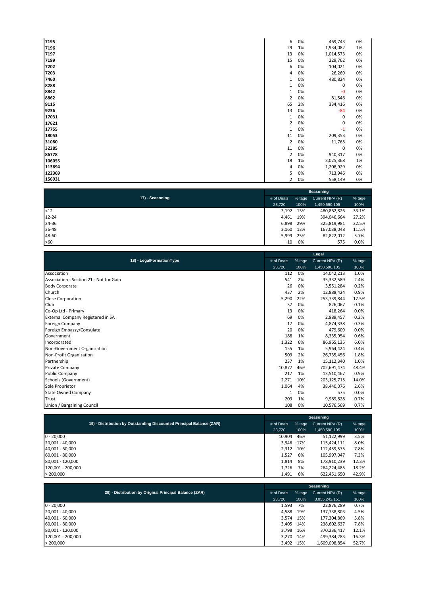| 7195   | 6            | 0% | 469,743   | 0% |
|--------|--------------|----|-----------|----|
| 7196   | 29           | 1% | 1,934,082 | 1% |
| 7197   | 13           | 0% | 1,014,573 | 0% |
| 7199   | 15           | 0% | 229,762   | 0% |
| 7202   | 6            | 0% | 104,021   | 0% |
| 7203   | 4            | 0% | 26,269    | 0% |
| 7460   | $\mathbf{1}$ | 0% | 480,824   | 0% |
| 8288   | 1            | 0% | 0         | 0% |
| 8842   | 1            | 0% | $-0$      | 0% |
| 8862   | 2            | 0% | 81,546    | 0% |
| 9115   | 65           | 2% | 334,416   | 0% |
| 9236   | 13           | 0% | $-84$     | 0% |
| 17031  | 1            | 0% | 0         | 0% |
| 17621  | 2            | 0% | 0         | 0% |
| 17755  | $\mathbf{1}$ | 0% | $-1$      | 0% |
| 18053  | 11           | 0% | 209,353   | 0% |
| 31080  | 2            | 0% | 11,765    | 0% |
| 32285  | 11           | 0% | 0         | 0% |
| 86778  | 2            | 0% | 940,317   | 0% |
| 106055 | 19           | 1% | 3,025,368 | 1% |
| 113694 | 4            | 0% | 1,208,929 | 0% |
| 122369 | 5            | 0% | 713,946   | 0% |
| 156931 | 2            | 0% | 558,149   | 0% |

| 17) - Seasoning | # of Deals | % tage | Current NPV (R) | % tage |
|-----------------|------------|--------|-----------------|--------|
|                 | 23,720     | 100%   | 1,450,590,105   | 100%   |
| $12$            | 3,192      | 13%    | 480,862,826     | 33.1%  |
| $12 - 24$       | 4,461      | 19%    | 394,046,664     | 27.2%  |
| 24-36           | 6,898      | 29%    | 325,819,981     | 22.5%  |
| 36-48           | 3,160      | 13%    | 167,038,048     | 11.5%  |
| 48-60           | 5,999      | 25%    | 82,822,012      | 5.7%   |
| >60             | 10         | 0%     | 575             | 0.0%   |

|                                         |            |        | Legal           |        |
|-----------------------------------------|------------|--------|-----------------|--------|
| 18) - LegalFormationType                | # of Deals | % tage | Current NPV (R) | % tage |
|                                         | 23,720     | 100%   | 1,450,590,105   | 100%   |
| Association                             | 112        | 0%     | 14,042,213      | 1.0%   |
| Association - Section 21 - Not for Gain | 541        | 2%     | 35,332,589      | 2.4%   |
| <b>Body Corporate</b>                   | 26         | 0%     | 3,551,284       | 0.2%   |
| Church                                  | 437        | 2%     | 12,888,424      | 0.9%   |
| <b>Close Corporation</b>                | 5.290      | 22%    | 253,739,844     | 17.5%  |
| Club                                    | 37         | 0%     | 826,067         | 0.1%   |
| Co-Op Ltd - Primary                     | 13         | 0%     | 418,264         | 0.0%   |
| External Company Registered in SA       | 69         | 0%     | 2,989,457       | 0.2%   |
| <b>Foreign Company</b>                  | 17         | 0%     | 4,874,338       | 0.3%   |
| Foreign Embassy/Consulate               | 20         | 0%     | 479,609         | 0.0%   |
| Government                              | 188        | 1%     | 8,335,954       | 0.6%   |
| Incorporated                            | 1,322      | 6%     | 86,965,135      | 6.0%   |
| Non-Government Organization             | 155        | 1%     | 5,964,424       | 0.4%   |
| Non-Profit Organization                 | 509        | 2%     | 26,735,456      | 1.8%   |
| Partnership                             | 237        | 1%     | 15,112,340      | 1.0%   |
| <b>Private Company</b>                  | 10,877     | 46%    | 702,691,474     | 48.4%  |
| <b>Public Company</b>                   | 217        | 1%     | 13,510,467      | 0.9%   |
| Schools (Government)                    | 2,271      | 10%    | 203,125,715     | 14.0%  |
| Sole Proprietor                         | 1,064      | 4%     | 38,440,076      | 2.6%   |
| <b>State Owned Company</b>              | 1          | 0%     | 575             | 0.0%   |
| Trust                                   | 209        | 1%     | 9,989,828       | 0.7%   |
| Union / Bargaining Council              | 108        | 0%     | 10,576,569      | 0.7%   |

|                                                                      | Seasoning  |        |                 |        |  |  |  |
|----------------------------------------------------------------------|------------|--------|-----------------|--------|--|--|--|
| 19) - Distribution by Outstanding Discounted Principal Balance (ZAR) | # of Deals | % tage | Current NPV (R) | % tage |  |  |  |
|                                                                      | 23.720     | 100%   | 1,450,590,105   | 100%   |  |  |  |
| $0 - 20,000$                                                         | 10.904     | 46%    | 51,122,999      | 3.5%   |  |  |  |
| 20,001 - 40,000                                                      | 3.946      | 17%    | 115,424,111     | 8.0%   |  |  |  |
| 40,001 - 60,000                                                      | 2.312      | 10%    | 112,459,575     | 7.8%   |  |  |  |
| 60,001 - 80,000                                                      | 1,527      | 6%     | 105,997,047     | 7.3%   |  |  |  |
| 80.001 - 120.000                                                     | 1,814      | 8%     | 178,910,239     | 12.3%  |  |  |  |
| 120,001 - 200,000                                                    | 1,726      | 7%     | 264,224,485     | 18.2%  |  |  |  |
| > 200.000                                                            | 1,491      | 6%     | 622.451.650     | 42.9%  |  |  |  |

|                                                        |            |           | Seasoning     |               |       |  |  |  |
|--------------------------------------------------------|------------|-----------|---------------|---------------|-------|--|--|--|
| 20) - Distribution by Original Principal Balance (ZAR) | # of Deals |           |               |               |       |  |  |  |
|                                                        | 23.720     | 100%      | 3,055,242,151 | 100%          |       |  |  |  |
| $0 - 20,000$                                           |            | 1,593     | 7%            | 22,876,289    | 0.7%  |  |  |  |
| 20,001 - 40,000                                        |            | 4,588     | 19%           | 137,738,803   | 4.5%  |  |  |  |
| 40,001 - 60,000                                        |            | 3,574 15% |               | 177,304,869   | 5.8%  |  |  |  |
| 60,001 - 80,000                                        |            | 3,405 14% |               | 238,602,637   | 7.8%  |  |  |  |
| 80,001 - 120,000                                       |            | 3.798     | 16%           | 370,236,417   | 12.1% |  |  |  |
| 120.001 - 200.000                                      |            | 3.270     | 14%           | 499,384,283   | 16.3% |  |  |  |
| > 200,000                                              |            | 3,492 15% |               | 1,609,098,854 | 52.7% |  |  |  |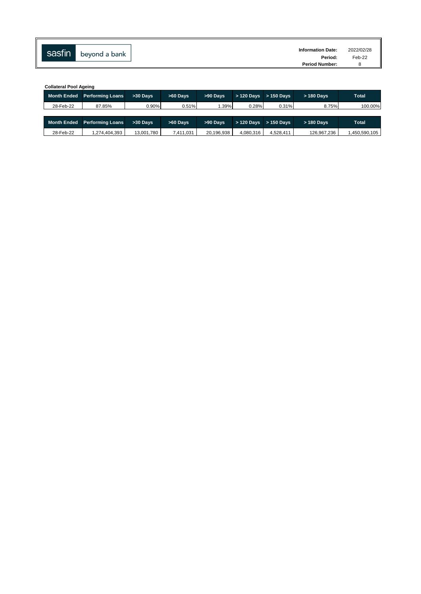| sasfin |               | <b>Information Date:</b> | 2022/02/28 |
|--------|---------------|--------------------------|------------|
|        | beyond a bank | Period:                  | Feb-22     |
|        |               | <b>Period Number:</b>    |            |

|                    | <b>Collateral Pool Ageing</b>       |                |            |            |             |              |             |               |  |  |  |  |  |  |  |
|--------------------|-------------------------------------|----------------|------------|------------|-------------|--------------|-------------|---------------|--|--|--|--|--|--|--|
| <b>Month Ended</b> | <b>Performing Loans</b><br>>30 Days |                | $>60$ Davs | >90 Days   | $>120$ Davs | $>$ 150 Davs | $>180$ Davs | <b>Total</b>  |  |  |  |  |  |  |  |
| 28-Feb-22          | 87.85%                              | 0.90%<br>0.51% |            | 1.39%      | 0.28%       | 0.31%        | 8.75%       | 100.00%       |  |  |  |  |  |  |  |
|                    |                                     |                |            |            |             |              |             |               |  |  |  |  |  |  |  |
| <b>Month Ended</b> | <b>Performing Loans</b>             | >30 Days       | $>60$ Davs | >90 Days   | $>120$ Davs | $>150$ Davs  | $>180$ Davs | <b>Total</b>  |  |  |  |  |  |  |  |
| 28-Feb-22          | 1,274,404,393                       | 13.001.780     | 7.411.031  | 20.196.938 | 4.080.316   | 4.528.411    | 126.967.236 | 1.450.590.105 |  |  |  |  |  |  |  |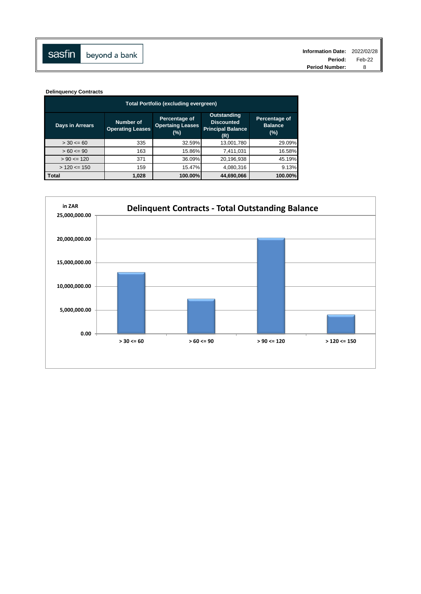**Delinquency Contracts**

| Total Portfolio (excluding evergreen) |                                      |                                                 |                                                                            |                                        |  |  |  |  |  |  |  |  |  |
|---------------------------------------|--------------------------------------|-------------------------------------------------|----------------------------------------------------------------------------|----------------------------------------|--|--|--|--|--|--|--|--|--|
| <b>Days in Arrears</b>                | Number of<br><b>Operating Leases</b> | Percentage of<br><b>Opertaing Leases</b><br>(%) | <b>Outstanding</b><br><b>Discounted</b><br><b>Principal Balance</b><br>(R) | Percentage of<br><b>Balance</b><br>(%) |  |  |  |  |  |  |  |  |  |
| $> 30 \le 60$                         | 335                                  | 32.59%                                          | 13,001,780                                                                 | 29.09%                                 |  |  |  |  |  |  |  |  |  |
| $> 60 \le 90$                         | 163                                  | 15.86%                                          | 7,411,031                                                                  | 16.58%                                 |  |  |  |  |  |  |  |  |  |
| $> 90 \le 120$                        | 371                                  | 36.09%                                          | 20,196,938                                                                 | 45.19%                                 |  |  |  |  |  |  |  |  |  |
| $> 120 \le 150$                       | 159                                  | 15.47%                                          | 4,080,316                                                                  | 9.13%                                  |  |  |  |  |  |  |  |  |  |
| <b>Total</b>                          | 1,028                                | 100.00%                                         | 44.690.066                                                                 | 100.00%                                |  |  |  |  |  |  |  |  |  |

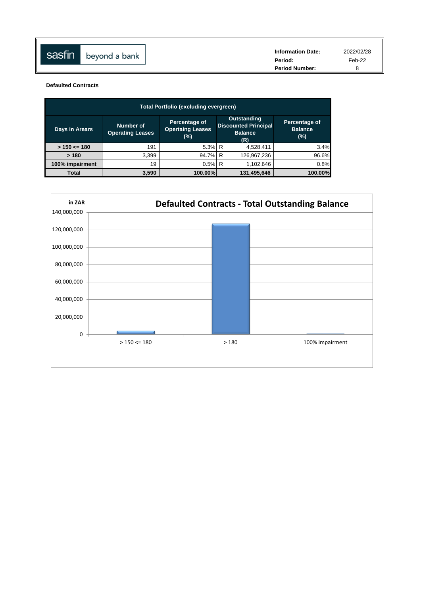| sasfin | beyond a bank | <b>Information Date:</b><br>Period: | 2022/02/28<br>Feb-22 |
|--------|---------------|-------------------------------------|----------------------|
|        |               | <b>Period Number:</b>               |                      |

**Defaulted Contracts**

| <b>Total Portfolio (excluding evergreen)</b> |                                      |                                                 |                                                                            |                                           |  |  |  |  |  |  |  |  |  |
|----------------------------------------------|--------------------------------------|-------------------------------------------------|----------------------------------------------------------------------------|-------------------------------------------|--|--|--|--|--|--|--|--|--|
| Days in Arears                               | Number of<br><b>Operating Leases</b> | Percentage of<br><b>Opertaing Leases</b><br>(%) | <b>Outstanding</b><br><b>Discounted Principal</b><br><b>Balance</b><br>(R) | Percentage of<br><b>Balance</b><br>$(\%)$ |  |  |  |  |  |  |  |  |  |
| $> 150 \le 180$                              | 191                                  | 5.3% R                                          | 4,528,411                                                                  | 3.4%                                      |  |  |  |  |  |  |  |  |  |
| >180                                         | 3.399                                | 94.7% R                                         | 126,967,236                                                                | 96.6%                                     |  |  |  |  |  |  |  |  |  |
| 100% impairment                              | 19                                   | $0.5\%$ R                                       | 1,102,646                                                                  | 0.8%                                      |  |  |  |  |  |  |  |  |  |
| Total                                        | 3,590                                | 100.00%                                         | 131,495,646                                                                | 100.00%                                   |  |  |  |  |  |  |  |  |  |

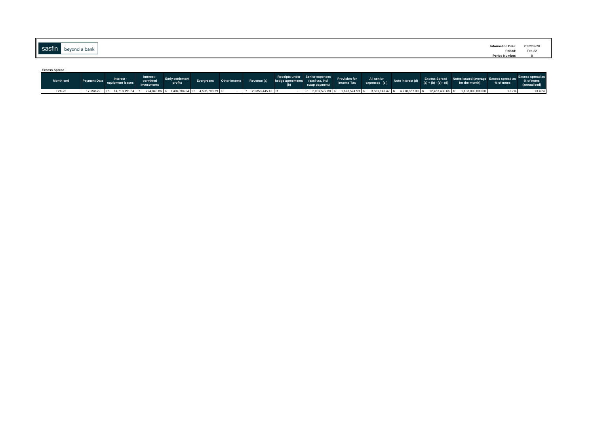| sasfin |               | <b>Information Date:</b>  | 2022/02/28 |
|--------|---------------|---------------------------|------------|
|        | beyond a bank | Period:<br>Period Number: | Feb-22     |
|        |               |                           |            |

| <b>Excess Spread</b> |  |                                                                                            |                         |         |  |  |  |                                                                                                                                         |               |  |                            |                   |                         |                                                                                                |            |                            |
|----------------------|--|--------------------------------------------------------------------------------------------|-------------------------|---------|--|--|--|-----------------------------------------------------------------------------------------------------------------------------------------|---------------|--|----------------------------|-------------------|-------------------------|------------------------------------------------------------------------------------------------|------------|----------------------------|
| Month-end            |  | Interest -<br><b>Excessive Payment Date</b> equipment leases                               | Interest -<br>permitted | profits |  |  |  | Receipts under Senior expenses<br>Evergreens Other Income Revenue (a) hedge agreements (excltax, incl<br>http://www.man.man/ Income.Tax | swap payment) |  | All senior<br>expenses (c) | Note interest (d) | $(a) + (b) - (c) - (d)$ | Excess Spread Notes issued (average Excess spread as Excess spread as<br>for the month)        | % of notes | % of notes<br>(annualised) |
| Feb-22               |  | 17-Mar-22 R 14,718,191.84 R 224,840.86 R 1,404,704.04 R 4,505,708.39 R · R 20,853,445.13 R |                         |         |  |  |  |                                                                                                                                         |               |  |                            |                   |                         | R 2,007,572.88 R 1,673,574.59 R 3,681,147.47 R 4,718,867.00 R 12,453,430.66 R 1,108,000,000.00 | 1.12%      | 13.49%                     |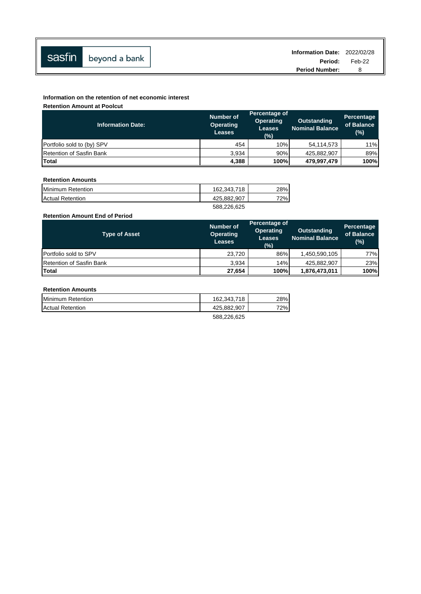|                      | Information Date: 2022/02/28 |        |
|----------------------|------------------------------|--------|
| Sasfin beyond a bank | Period:                      | Feb-22 |
|                      | <b>Period Number:</b>        |        |

## **Information on the retention of net economic interest**

**Retention Amount at Poolcut**

| <b>Information Date:</b>        | <b>Number of</b><br><b>Operating</b><br><b>Leases</b> | Percentage of<br><b>Operating</b><br><b>Leases</b><br>(%) | <b>Outstanding</b><br><b>Nominal Balance</b> | Percentage<br>of Balance<br>(%) |
|---------------------------------|-------------------------------------------------------|-----------------------------------------------------------|----------------------------------------------|---------------------------------|
| Portfolio sold to (by) SPV      | 454                                                   | 10%                                                       | 54,114,573                                   | 11%                             |
| <b>Retention of Sasfin Bank</b> | 3,934                                                 | 90%                                                       | 425,882,907                                  | 89%                             |
| <b>Total</b>                    | 4,388                                                 | 100%                                                      | 479,997,479                                  | 100%                            |

### **Retention Amounts**

| Minimum Retention       | 162.343.718 | 28% |
|-------------------------|-------------|-----|
| <b>Actual Retention</b> | 425,882,907 | 72% |
|                         | 588,226,625 |     |

## **Retention Amount End of Period**

| <b>Type of Asset</b>            | Number of<br><b>Operating</b><br><b>Leases</b> | Percentage of<br><b>Operating</b><br><b>Leases</b><br>(%) | <b>Outstanding</b><br><b>Nominal Balance</b> | <b>Percentage</b><br>of Balance<br>$(\%)$ |
|---------------------------------|------------------------------------------------|-----------------------------------------------------------|----------------------------------------------|-------------------------------------------|
| <b>Portfolio sold to SPV</b>    | 23,720                                         | 86%                                                       | 1,450,590,105                                | 77%                                       |
| <b>Retention of Sasfin Bank</b> | 3.934                                          | 14%                                                       | 425,882,907                                  | 23%                                       |
| Total                           | 27.654                                         | 100%                                                      | 1,876,473,011                                | 100%                                      |

## **Retention Amounts**

| Minimum Retention       | 162.343.718 | 28% |
|-------------------------|-------------|-----|
| <b>Actual Retention</b> | 425.882.907 | 72% |
|                         | EDD DDR ROE |     |

588,226,625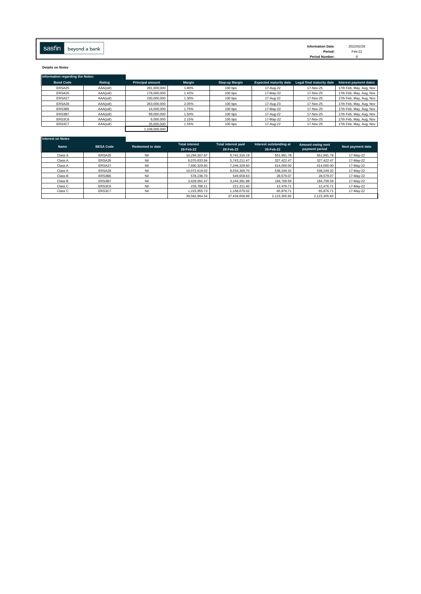**Details on Notes**

| Information regarding the Notes: |          |                         |        |                |                               |                           |                         |
|----------------------------------|----------|-------------------------|--------|----------------|-------------------------------|---------------------------|-------------------------|
| <b>Bond Code</b>                 | Rating   | <b>Principal amount</b> | Margin | Step-up Margin | <b>Expected maturity date</b> | Legal final maturity date | Interest payment dates  |
| ERSA25                           | AAA(zaf) | 281.000.000             | 1.80%  | 100 bps        | 17-Aug-22                     | 17-Nov-25                 | 17th Feb, May, Aug, Nov |
| ERSA26                           | AAA(zaf) | 178,000,000             | 1.42%  | 100 bps        | 17-May-22                     | 17-Nov-25                 | 17th Feb, May, Aug, Nov |
| ERSA27                           | AAA(zaf) | 230,000,000             | 1.30%  | $100$ bps      | 17-Aug-22                     | 17-Nov-25                 | 17th Feb, May, Aug, Nov |
| ERSA28                           | AAA(zaf) | 263,000,000             | 2.05%  | $100$ bps      | 17-Aug-23                     | 17-Nov-25                 | 17th Feb, May, Aug, Nov |
| ERS3B6                           | AAA(zaf) | 16,000,000              | 1.75%  | $100$ bps      | 17-May-22                     | 17-Nov-25                 | 17th Feb, May, Aug, Nov |
| ERS3B7                           | AAA(zaf) | 99,000,000              | 1.50%  | $100$ bps      | 17-Aug-22                     | 17-Nov-25                 | 17th Feb, May, Aug, Nov |
| ERS3C6                           | AAA(zaf) | 6,000,000               | 2.15%  | 100 bps        | 17-May-22                     | 17-Nov-25                 | 17th Feb, May, Aug, Nov |
| ERS3C7                           | AAA(zaf) | 35,000,000              | 1.55%  | 100 bps        | 17-Aug-22                     | 17-Nov-25                 | 17th Feb, May, Aug, Nov |
|                                  |          | 1.108.000.000           |        |                |                               |                           |                         |

| Interest on Notes |                  |                         |                                    |                                         |                                      |                                     |                   |
|-------------------|------------------|-------------------------|------------------------------------|-----------------------------------------|--------------------------------------|-------------------------------------|-------------------|
| <b>Name</b>       | <b>BESA Code</b> | <b>Redeemed to date</b> | <b>Total interest</b><br>28-Feb-22 | <b>Total interest paid</b><br>28-Feb-22 | Interest outstanding at<br>28-Feb-22 | Amount owing next<br>payment period | Next payment date |
| Class A           | ERSA25           | Nil                     | 10.294.307.97                      | 9.742.316.19                            | 551,991.78                           | 551.991.78                          | 17-May-22         |
| Class A           | ERSA26           | Nil                     | 6.070.633.94                       | 5.743.211.47                            | 327.422.47                           | 327.422.47                          | 17-May-22         |
| Class A           | ERSA27           | Nil                     | 7.660.329.60                       | 7.246.329.60                            | 414.000.00                           | 414.000.00                          | 17-May-22         |
| Class A           | ERSA28           | Nil                     | 10.072.619.02                      | 9.534.369.70                            | 538.249.32                           | 538.249.32                          | 17-May-22         |
| Class B           | ERS3B6           | Nil                     | 578,238,70                         | 549.659.63                              | 28,579.07                            | 28,579.07                           | 17-May-22         |
| Class B           | ERS3B7           | Nil                     | 3.429.091.47                       | 3.244.381.88                            | 184,709.59                           | 184.709.59                          | 17-May-22         |
| Class C           | ERS3C6           | Nil                     | 233.788.11                         | 221.311.40                              | 12,476.71                            | 12,476.71                           | 17-May-22         |
| Class C           | ERS3C7           | Nil                     | 1.223.955.73                       | 1.158.079.02                            | 65.876.71                            | 65,876.71                           | 17-May-22         |
|                   |                  |                         | 39.562.964.54                      | 37.439.658.89                           | 2,123,305.65                         | 2,123,305.65                        |                   |